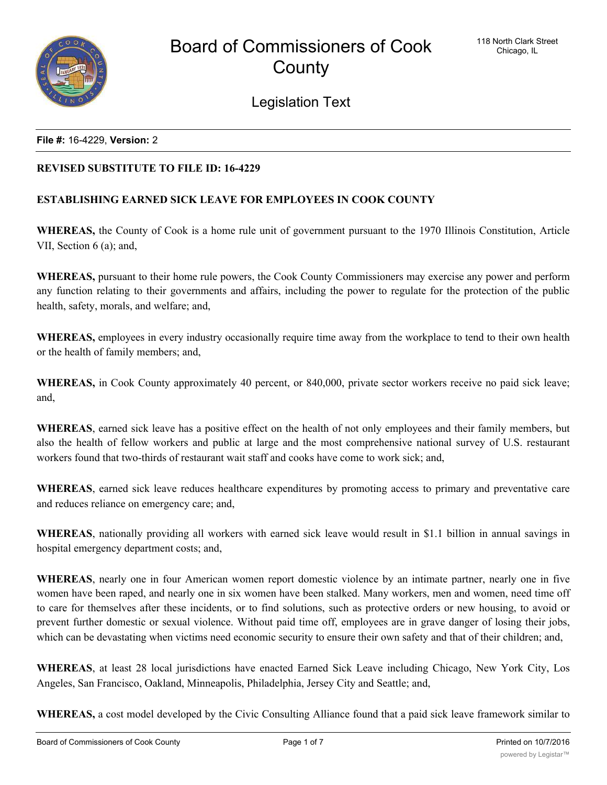

Legislation Text

#### **File #:** 16-4229, **Version:** 2

## **REVISED SUBSTITUTE TO FILE ID: 16-4229**

# **ESTABLISHING EARNED SICK LEAVE FOR EMPLOYEES IN COOK COUNTY**

**WHEREAS,** the County of Cook is a home rule unit of government pursuant to the 1970 Illinois Constitution, Article VII, Section 6 (a); and,

**WHEREAS,** pursuant to their home rule powers, the Cook County Commissioners may exercise any power and perform any function relating to their governments and affairs, including the power to regulate for the protection of the public health, safety, morals, and welfare; and,

**WHEREAS,** employees in every industry occasionally require time away from the workplace to tend to their own health or the health of family members; and,

**WHEREAS,** in Cook County approximately 40 percent, or 840,000, private sector workers receive no paid sick leave; and,

**WHEREAS**, earned sick leave has a positive effect on the health of not only employees and their family members, but also the health of fellow workers and public at large and the most comprehensive national survey of U.S. restaurant workers found that two-thirds of restaurant wait staff and cooks have come to work sick; and,

**WHEREAS**, earned sick leave reduces healthcare expenditures by promoting access to primary and preventative care and reduces reliance on emergency care; and,

**WHEREAS**, nationally providing all workers with earned sick leave would result in \$1.1 billion in annual savings in hospital emergency department costs; and,

**WHEREAS**, nearly one in four American women report domestic violence by an intimate partner, nearly one in five women have been raped, and nearly one in six women have been stalked. Many workers, men and women, need time off to care for themselves after these incidents, or to find solutions, such as protective orders or new housing, to avoid or prevent further domestic or sexual violence. Without paid time off, employees are in grave danger of losing their jobs, which can be devastating when victims need economic security to ensure their own safety and that of their children; and,

**WHEREAS**, at least 28 local jurisdictions have enacted Earned Sick Leave including Chicago, New York City, Los Angeles, San Francisco, Oakland, Minneapolis, Philadelphia, Jersey City and Seattle; and,

**WHEREAS,** a cost model developed by the Civic Consulting Alliance found that a paid sick leave framework similar to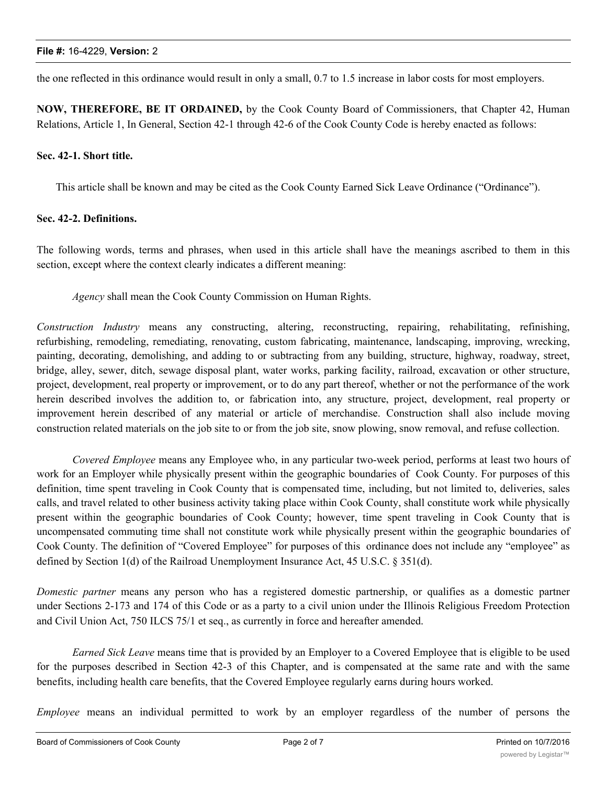the one reflected in this ordinance would result in only a small, 0.7 to 1.5 increase in labor costs for most employers.

**NOW, THEREFORE, BE IT ORDAINED,** by the Cook County Board of Commissioners, that Chapter 42, Human Relations, Article 1, In General, Section 42-1 through 42-6 of the Cook County Code is hereby enacted as follows:

# **Sec. 42-1. Short title.**

This article shall be known and may be cited as the Cook County Earned Sick Leave Ordinance ("Ordinance").

## **Sec. 42-2. Definitions.**

The following words, terms and phrases, when used in this article shall have the meanings ascribed to them in this section, except where the context clearly indicates a different meaning:

*Agency* shall mean the Cook County Commission on Human Rights.

*Construction Industry* means any constructing, altering, reconstructing, repairing, rehabilitating, refinishing, refurbishing, remodeling, remediating, renovating, custom fabricating, maintenance, landscaping, improving, wrecking, painting, decorating, demolishing, and adding to or subtracting from any building, structure, highway, roadway, street, bridge, alley, sewer, ditch, sewage disposal plant, water works, parking facility, railroad, excavation or other structure, project, development, real property or improvement, or to do any part thereof, whether or not the performance of the work herein described involves the addition to, or fabrication into, any structure, project, development, real property or improvement herein described of any material or article of merchandise. Construction shall also include moving construction related materials on the job site to or from the job site, snow plowing, snow removal, and refuse collection.

*Covered Employee* means any Employee who, in any particular two-week period, performs at least two hours of work for an Employer while physically present within the geographic boundaries of Cook County. For purposes of this definition, time spent traveling in Cook County that is compensated time, including, but not limited to, deliveries, sales calls, and travel related to other business activity taking place within Cook County, shall constitute work while physically present within the geographic boundaries of Cook County; however, time spent traveling in Cook County that is uncompensated commuting time shall not constitute work while physically present within the geographic boundaries of Cook County. The definition of "Covered Employee" for purposes of this ordinance does not include any "employee" as defined by Section 1(d) of the Railroad Unemployment Insurance Act, 45 U.S.C. § 351(d).

*Domestic partner* means any person who has a registered domestic partnership, or qualifies as a domestic partner under Sections 2-173 and 174 of this Code or as a party to a civil union under the Illinois Religious Freedom Protection and Civil Union Act, 750 ILCS 75/1 et seq., as currently in force and hereafter amended.

*Earned Sick Leave* means time that is provided by an Employer to a Covered Employee that is eligible to be used for the purposes described in Section 42-3 of this Chapter, and is compensated at the same rate and with the same benefits, including health care benefits, that the Covered Employee regularly earns during hours worked.

*Employee* means an individual permitted to work by an employer regardless of the number of persons the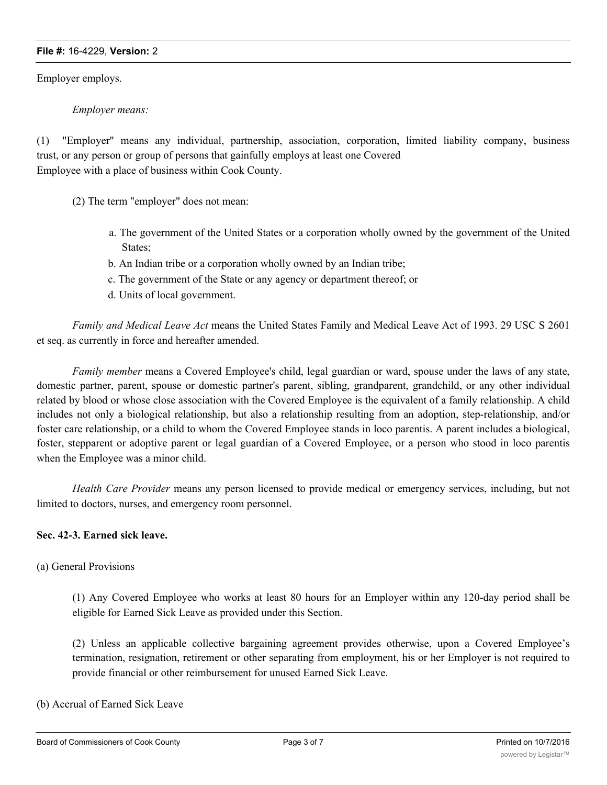#### **File #:** 16-4229, **Version:** 2

Employer employs.

*Employer means:*

(1) "Employer" means any individual, partnership, association, corporation, limited liability company, business trust, or any person or group of persons that gainfully employs at least one Covered Employee with a place of business within Cook County.

(2) The term "employer" does not mean:

- a. The government of the United States or a corporation wholly owned by the government of the United States;
- b. An Indian tribe or a corporation wholly owned by an Indian tribe;
- c. The government of the State or any agency or department thereof; or
- d. Units of local government.

*Family and Medical Leave Act* means the United States Family and Medical Leave Act of 1993. 29 USC S 2601 et seq. as currently in force and hereafter amended.

*Family member* means a Covered Employee's child, legal guardian or ward, spouse under the laws of any state, domestic partner, parent, spouse or domestic partner's parent, sibling, grandparent, grandchild, or any other individual related by blood or whose close association with the Covered Employee is the equivalent of a family relationship. A child includes not only a biological relationship, but also a relationship resulting from an adoption, step-relationship, and/or foster care relationship, or a child to whom the Covered Employee stands in loco parentis. A parent includes a biological, foster, stepparent or adoptive parent or legal guardian of a Covered Employee, or a person who stood in loco parentis when the Employee was a minor child.

*Health Care Provider* means any person licensed to provide medical or emergency services, including, but not limited to doctors, nurses, and emergency room personnel.

## **Sec. 42-3. Earned sick leave.**

## (a) General Provisions

(1) Any Covered Employee who works at least 80 hours for an Employer within any 120-day period shall be eligible for Earned Sick Leave as provided under this Section.

(2) Unless an applicable collective bargaining agreement provides otherwise, upon a Covered Employee's termination, resignation, retirement or other separating from employment, his or her Employer is not required to provide financial or other reimbursement for unused Earned Sick Leave.

(b) Accrual of Earned Sick Leave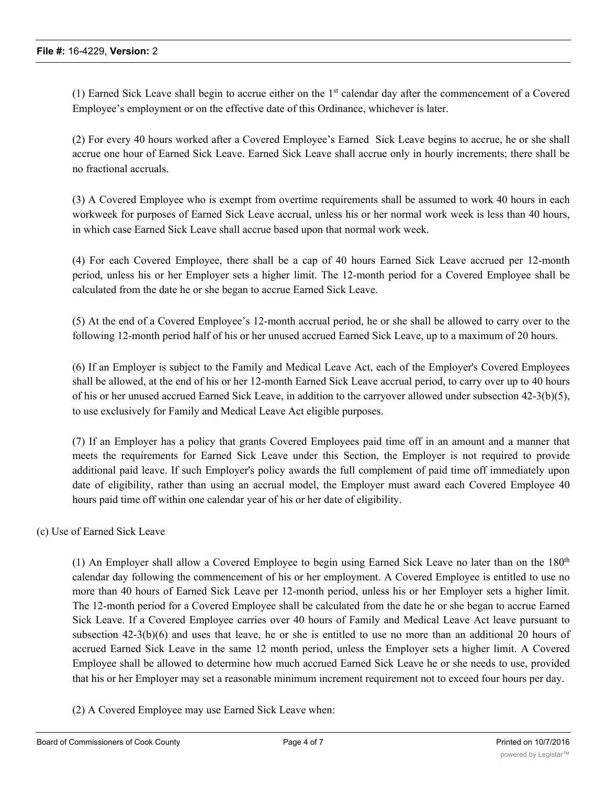(1) Earned Sick Leave shall begin to accrue either on the 1st calendar day after the commencement of a Covered Employee's employment or on the effective date of this Ordinance, whichever is later.

(2) For every 40 hours worked after a Covered Employee's Earned Sick Leave begins to accrue, he or she shall accrue one hour of Earned Sick Leave. Earned Sick Leave shall accrue only in hourly increments; there shall be no fractional accruals.

(3) A Covered Employee who is exempt from overtime requirements shall be assumed to work 40 hours in each workweek for purposes of Earned Sick Leave accrual, unless his or her normal work week is less than 40 hours, in which case Earned Sick Leave shall accrue based upon that normal work week.

(4) For each Covered Employee, there shall be a cap of 40 hours Earned Sick Leave accrued per 12-month period, unless his or her Employer sets a higher limit. The 12-month period for a Covered Employee shall be calculated from the date he or she began to accrue Earned Sick Leave.

(5) At the end of a Covered Employee's 12-month accrual period, he or she shall be allowed to carry over to the following 12-month period half of his or her unused accrued Earned Sick Leave, up to a maximum of 20 hours.

(6) If an Employer is subject to the Family and Medical Leave Act, each of the Employer's Covered Employees shall be allowed, at the end of his or her 12-month Earned Sick Leave accrual period, to carry over up to 40 hours of his or her unused accrued Earned Sick Leave, in addition to the carryover allowed under subsection 42-3(b)(5), to use exclusively for Family and Medical Leave Act eligible purposes.

(7) If an Employer has a policy that grants Covered Employees paid time off in an amount and a manner that meets the requirements for Earned Sick Leave under this Section, the Employer is not required to provide additional paid leave. If such Employer's policy awards the full complement of paid time off immediately upon date of eligibility, rather than using an accrual model, the Employer must award each Covered Employee 40 hours paid time off within one calendar year of his or her date of eligibility.

(c) Use of Earned Sick Leave

(1) An Employer shall allow a Covered Employee to begin using Earned Sick Leave no later than on the  $180<sup>th</sup>$ calendar day following the commencement of his or her employment. A Covered Employee is entitled to use no more than 40 hours of Earned Sick Leave per 12-month period, unless his or her Employer sets a higher limit. The 12-month period for a Covered Employee shall be calculated from the date he or she began to accrue Earned Sick Leave. If a Covered Employee carries over 40 hours of Family and Medical Leave Act leave pursuant to subsection 42-3(b)(6) and uses that leave, he or she is entitled to use no more than an additional 20 hours of accrued Earned Sick Leave in the same 12 month period, unless the Employer sets a higher limit. A Covered Employee shall be allowed to determine how much accrued Earned Sick Leave he or she needs to use, provided that his or her Employer may set a reasonable minimum increment requirement not to exceed four hours per day.

(2) A Covered Employee may use Earned Sick Leave when: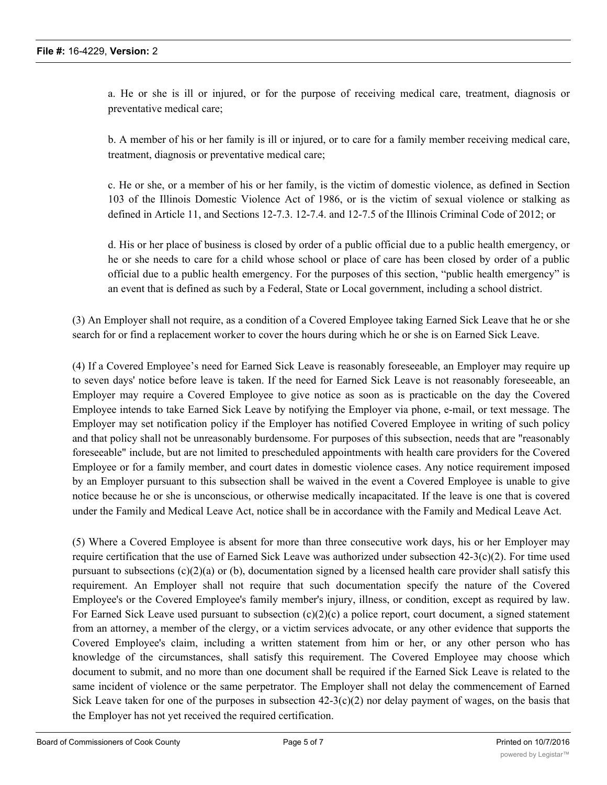a. He or she is ill or injured, or for the purpose of receiving medical care, treatment, diagnosis or preventative medical care;

b. A member of his or her family is ill or injured, or to care for a family member receiving medical care, treatment, diagnosis or preventative medical care;

c. He or she, or a member of his or her family, is the victim of domestic violence, as defined in Section 103 of the Illinois Domestic Violence Act of 1986, or is the victim of sexual violence or stalking as defined in Article 11, and Sections 12-7.3. 12-7.4. and 12-7.5 of the Illinois Criminal Code of 2012; or

d. His or her place of business is closed by order of a public official due to a public health emergency, or he or she needs to care for a child whose school or place of care has been closed by order of a public official due to a public health emergency. For the purposes of this section, "public health emergency" is an event that is defined as such by a Federal, State or Local government, including a school district.

(3) An Employer shall not require, as a condition of a Covered Employee taking Earned Sick Leave that he or she search for or find a replacement worker to cover the hours during which he or she is on Earned Sick Leave.

(4) If a Covered Employee's need for Earned Sick Leave is reasonably foreseeable, an Employer may require up to seven days' notice before leave is taken. If the need for Earned Sick Leave is not reasonably foreseeable, an Employer may require a Covered Employee to give notice as soon as is practicable on the day the Covered Employee intends to take Earned Sick Leave by notifying the Employer via phone, e-mail, or text message. The Employer may set notification policy if the Employer has notified Covered Employee in writing of such policy and that policy shall not be unreasonably burdensome. For purposes of this subsection, needs that are "reasonably foreseeable" include, but are not limited to prescheduled appointments with health care providers for the Covered Employee or for a family member, and court dates in domestic violence cases. Any notice requirement imposed by an Employer pursuant to this subsection shall be waived in the event a Covered Employee is unable to give notice because he or she is unconscious, or otherwise medically incapacitated. If the leave is one that is covered under the Family and Medical Leave Act, notice shall be in accordance with the Family and Medical Leave Act.

(5) Where a Covered Employee is absent for more than three consecutive work days, his or her Employer may require certification that the use of Earned Sick Leave was authorized under subsection 42-3(c)(2). For time used pursuant to subsections  $(c)(2)(a)$  or (b), documentation signed by a licensed health care provider shall satisfy this requirement. An Employer shall not require that such documentation specify the nature of the Covered Employee's or the Covered Employee's family member's injury, illness, or condition, except as required by law. For Earned Sick Leave used pursuant to subsection  $(c)(2)(c)$  a police report, court document, a signed statement from an attorney, a member of the clergy, or a victim services advocate, or any other evidence that supports the Covered Employee's claim, including a written statement from him or her, or any other person who has knowledge of the circumstances, shall satisfy this requirement. The Covered Employee may choose which document to submit, and no more than one document shall be required if the Earned Sick Leave is related to the same incident of violence or the same perpetrator. The Employer shall not delay the commencement of Earned Sick Leave taken for one of the purposes in subsection  $42-3(c)(2)$  nor delay payment of wages, on the basis that the Employer has not yet received the required certification.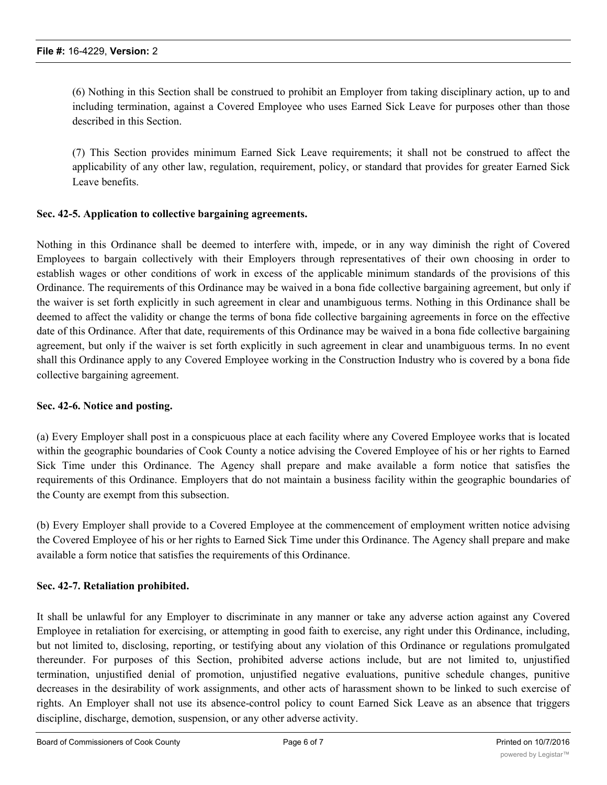(6) Nothing in this Section shall be construed to prohibit an Employer from taking disciplinary action, up to and including termination, against a Covered Employee who uses Earned Sick Leave for purposes other than those described in this Section.

(7) This Section provides minimum Earned Sick Leave requirements; it shall not be construed to affect the applicability of any other law, regulation, requirement, policy, or standard that provides for greater Earned Sick Leave benefits.

## **Sec. 42-5. Application to collective bargaining agreements.**

Nothing in this Ordinance shall be deemed to interfere with, impede, or in any way diminish the right of Covered Employees to bargain collectively with their Employers through representatives of their own choosing in order to establish wages or other conditions of work in excess of the applicable minimum standards of the provisions of this Ordinance. The requirements of this Ordinance may be waived in a bona fide collective bargaining agreement, but only if the waiver is set forth explicitly in such agreement in clear and unambiguous terms. Nothing in this Ordinance shall be deemed to affect the validity or change the terms of bona fide collective bargaining agreements in force on the effective date of this Ordinance. After that date, requirements of this Ordinance may be waived in a bona fide collective bargaining agreement, but only if the waiver is set forth explicitly in such agreement in clear and unambiguous terms. In no event shall this Ordinance apply to any Covered Employee working in the Construction Industry who is covered by a bona fide collective bargaining agreement.

## **Sec. 42-6. Notice and posting.**

(a) Every Employer shall post in a conspicuous place at each facility where any Covered Employee works that is located within the geographic boundaries of Cook County a notice advising the Covered Employee of his or her rights to Earned Sick Time under this Ordinance. The Agency shall prepare and make available a form notice that satisfies the requirements of this Ordinance. Employers that do not maintain a business facility within the geographic boundaries of the County are exempt from this subsection.

(b) Every Employer shall provide to a Covered Employee at the commencement of employment written notice advising the Covered Employee of his or her rights to Earned Sick Time under this Ordinance. The Agency shall prepare and make available a form notice that satisfies the requirements of this Ordinance.

## **Sec. 42-7. Retaliation prohibited.**

It shall be unlawful for any Employer to discriminate in any manner or take any adverse action against any Covered Employee in retaliation for exercising, or attempting in good faith to exercise, any right under this Ordinance, including, but not limited to, disclosing, reporting, or testifying about any violation of this Ordinance or regulations promulgated thereunder. For purposes of this Section, prohibited adverse actions include, but are not limited to, unjustified termination, unjustified denial of promotion, unjustified negative evaluations, punitive schedule changes, punitive decreases in the desirability of work assignments, and other acts of harassment shown to be linked to such exercise of rights. An Employer shall not use its absence-control policy to count Earned Sick Leave as an absence that triggers discipline, discharge, demotion, suspension, or any other adverse activity.